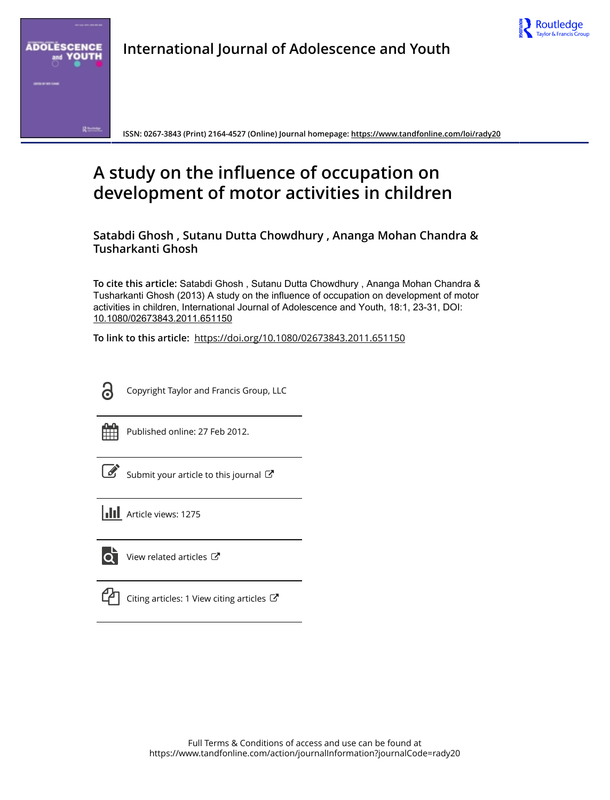



**International Journal of Adolescence and Youth**

**ISSN: 0267-3843 (Print) 2164-4527 (Online) Journal homepage:<https://www.tandfonline.com/loi/rady20>**

# **A study on the influence of occupation on development of motor activities in children**

**Satabdi Ghosh , Sutanu Dutta Chowdhury , Ananga Mohan Chandra & Tusharkanti Ghosh**

**To cite this article:** Satabdi Ghosh , Sutanu Dutta Chowdhury , Ananga Mohan Chandra & Tusharkanti Ghosh (2013) A study on the influence of occupation on development of motor activities in children, International Journal of Adolescence and Youth, 18:1, 23-31, DOI: [10.1080/02673843.2011.651150](https://www.tandfonline.com/action/showCitFormats?doi=10.1080/02673843.2011.651150)

**To link to this article:** <https://doi.org/10.1080/02673843.2011.651150>



Copyright Taylor and Francis Group, LLC



Published online: 27 Feb 2012.

|--|

[Submit your article to this journal](https://www.tandfonline.com/action/authorSubmission?journalCode=rady20&show=instructions)  $\mathbb{Z}$ 





[View related articles](https://www.tandfonline.com/doi/mlt/10.1080/02673843.2011.651150) C

| ۰, |
|----|
|    |

[Citing articles: 1 View citing articles](https://www.tandfonline.com/doi/citedby/10.1080/02673843.2011.651150#tabModule)  $\mathbb{Z}$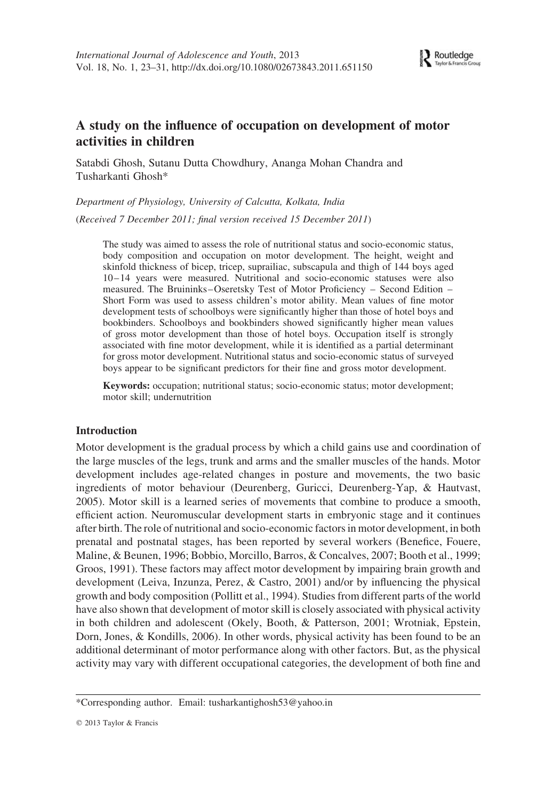**}** Routledge Taylor & Francis

## A study on the influence of occupation on development of motor activities in children

Satabdi Ghosh, Sutanu Dutta Chowdhury, Ananga Mohan Chandra and Tusharkanti Ghosh\*

Department of Physiology, University of Calcutta, Kolkata, India

(Received 7 December 2011; final version received 15 December 2011)

The study was aimed to assess the role of nutritional status and socio-economic status, body composition and occupation on motor development. The height, weight and skinfold thickness of bicep, tricep, suprailiac, subscapula and thigh of 144 boys aged 10–14 years were measured. Nutritional and socio-economic statuses were also measured. The Bruininks–Oseretsky Test of Motor Proficiency – Second Edition – Short Form was used to assess children's motor ability. Mean values of fine motor development tests of schoolboys were significantly higher than those of hotel boys and bookbinders. Schoolboys and bookbinders showed significantly higher mean values of gross motor development than those of hotel boys. Occupation itself is strongly associated with fine motor development, while it is identified as a partial determinant for gross motor development. Nutritional status and socio-economic status of surveyed boys appear to be significant predictors for their fine and gross motor development.

Keywords: occupation; nutritional status; socio-economic status; motor development; motor skill; undernutrition

#### Introduction

Motor development is the gradual process by which a child gains use and coordination of the large muscles of the legs, trunk and arms and the smaller muscles of the hands. Motor development includes age-related changes in posture and movements, the two basic ingredients of motor behaviour (Deurenberg, Guricci, Deurenberg-Yap, & Hautvast, 2005). Motor skill is a learned series of movements that combine to produce a smooth, efficient action. Neuromuscular development starts in embryonic stage and it continues after birth. The role of nutritional and socio-economic factors in motor development, in both prenatal and postnatal stages, has been reported by several workers (Benefice, Fouere, Maline, & Beunen, 1996; Bobbio, Morcillo, Barros, & Concalves, 2007; Booth et al., 1999; Groos, 1991). These factors may affect motor development by impairing brain growth and development (Leiva, Inzunza, Perez, & Castro, 2001) and/or by influencing the physical growth and body composition (Pollitt et al., 1994). Studies from different parts of the world have also shown that development of motor skill is closely associated with physical activity in both children and adolescent (Okely, Booth, & Patterson, 2001; Wrotniak, Epstein, Dorn, Jones, & Kondills, 2006). In other words, physical activity has been found to be an additional determinant of motor performance along with other factors. But, as the physical activity may vary with different occupational categories, the development of both fine and

<sup>\*</sup>Corresponding author. Email: tusharkantighosh53@yahoo.in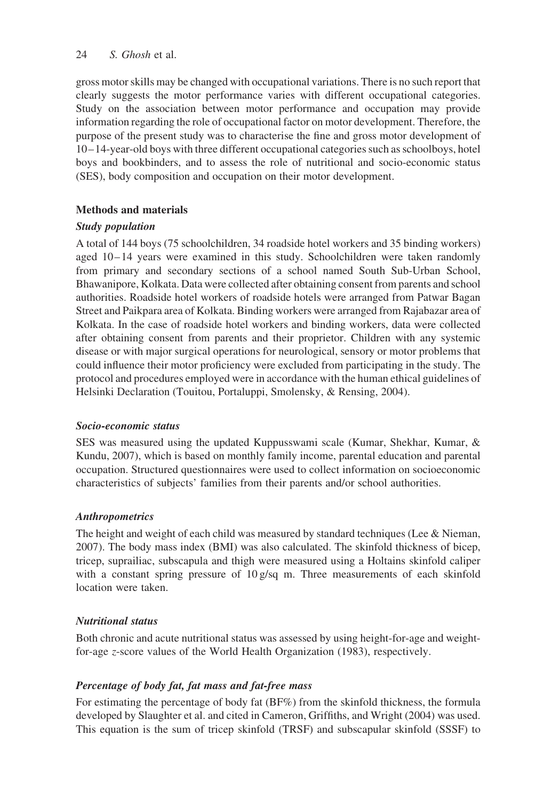## 24 S. Ghosh et al.

gross motor skills may be changed with occupational variations. There is no such report that clearly suggests the motor performance varies with different occupational categories. Study on the association between motor performance and occupation may provide information regarding the role of occupational factor on motor development. Therefore, the purpose of the present study was to characterise the fine and gross motor development of 10–14-year-old boys with three different occupational categories such as schoolboys, hotel boys and bookbinders, and to assess the role of nutritional and socio-economic status (SES), body composition and occupation on their motor development.

## Methods and materials

## Study population

A total of 144 boys (75 schoolchildren, 34 roadside hotel workers and 35 binding workers) aged 10–14 years were examined in this study. Schoolchildren were taken randomly from primary and secondary sections of a school named South Sub-Urban School, Bhawanipore, Kolkata. Data were collected after obtaining consent from parents and school authorities. Roadside hotel workers of roadside hotels were arranged from Patwar Bagan Street and Paikpara area of Kolkata. Binding workers were arranged from Rajabazar area of Kolkata. In the case of roadside hotel workers and binding workers, data were collected after obtaining consent from parents and their proprietor. Children with any systemic disease or with major surgical operations for neurological, sensory or motor problems that could influence their motor proficiency were excluded from participating in the study. The protocol and procedures employed were in accordance with the human ethical guidelines of Helsinki Declaration (Touitou, Portaluppi, Smolensky, & Rensing, 2004).

## Socio-economic status

SES was measured using the updated Kuppusswami scale (Kumar, Shekhar, Kumar, & Kundu, 2007), which is based on monthly family income, parental education and parental occupation. Structured questionnaires were used to collect information on socioeconomic characteristics of subjects' families from their parents and/or school authorities.

## Anthropometrics

The height and weight of each child was measured by standard techniques (Lee  $\&$  Nieman, 2007). The body mass index (BMI) was also calculated. The skinfold thickness of bicep, tricep, suprailiac, subscapula and thigh were measured using a Holtains skinfold caliper with a constant spring pressure of  $10 \text{ g/sq m}$ . Three measurements of each skinfold location were taken.

## Nutritional status

Both chronic and acute nutritional status was assessed by using height-for-age and weightfor-age z-score values of the World Health Organization (1983), respectively.

## Percentage of body fat, fat mass and fat-free mass

For estimating the percentage of body fat (BF%) from the skinfold thickness, the formula developed by Slaughter et al. and cited in Cameron, Griffiths, and Wright (2004) was used. This equation is the sum of tricep skinfold (TRSF) and subscapular skinfold (SSSF) to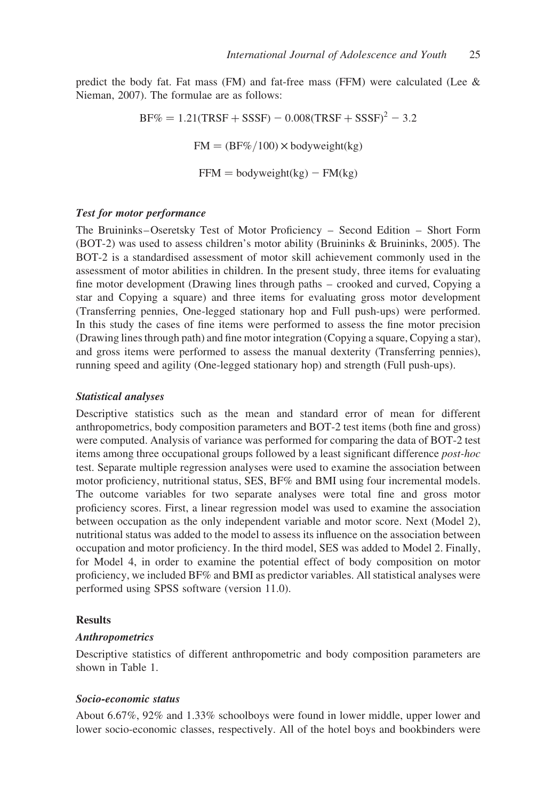predict the body fat. Fat mass (FM) and fat-free mass (FFM) were calculated (Lee  $\&$ Nieman, 2007). The formulae are as follows:

$$
BF\% = 1.21(TRSF + SSSF) - 0.008(TRSF + SSSF)^{2} - 3.2
$$
  
FM = (BF\%/100) × bodyweight(kg)  
FFM = bodyweight(kg) - FM(kg)

#### Test for motor performance

The Bruininks–Oseretsky Test of Motor Proficiency – Second Edition – Short Form (BOT-2) was used to assess children's motor ability (Bruininks & Bruininks, 2005). The BOT-2 is a standardised assessment of motor skill achievement commonly used in the assessment of motor abilities in children. In the present study, three items for evaluating fine motor development (Drawing lines through paths – crooked and curved, Copying a star and Copying a square) and three items for evaluating gross motor development (Transferring pennies, One-legged stationary hop and Full push-ups) were performed. In this study the cases of fine items were performed to assess the fine motor precision (Drawing lines through path) and fine motor integration (Copying a square, Copying a star), and gross items were performed to assess the manual dexterity (Transferring pennies), running speed and agility (One-legged stationary hop) and strength (Full push-ups).

#### Statistical analyses

Descriptive statistics such as the mean and standard error of mean for different anthropometrics, body composition parameters and BOT-2 test items (both fine and gross) were computed. Analysis of variance was performed for comparing the data of BOT-2 test items among three occupational groups followed by a least significant difference post-hoc test. Separate multiple regression analyses were used to examine the association between motor proficiency, nutritional status, SES, BF% and BMI using four incremental models. The outcome variables for two separate analyses were total fine and gross motor proficiency scores. First, a linear regression model was used to examine the association between occupation as the only independent variable and motor score. Next (Model 2), nutritional status was added to the model to assess its influence on the association between occupation and motor proficiency. In the third model, SES was added to Model 2. Finally, for Model 4, in order to examine the potential effect of body composition on motor proficiency, we included BF% and BMI as predictor variables. All statistical analyses were performed using SPSS software (version 11.0).

#### Results

#### Anthropometrics

Descriptive statistics of different anthropometric and body composition parameters are shown in Table 1.

#### Socio-economic status

About 6.67%, 92% and 1.33% schoolboys were found in lower middle, upper lower and lower socio-economic classes, respectively. All of the hotel boys and bookbinders were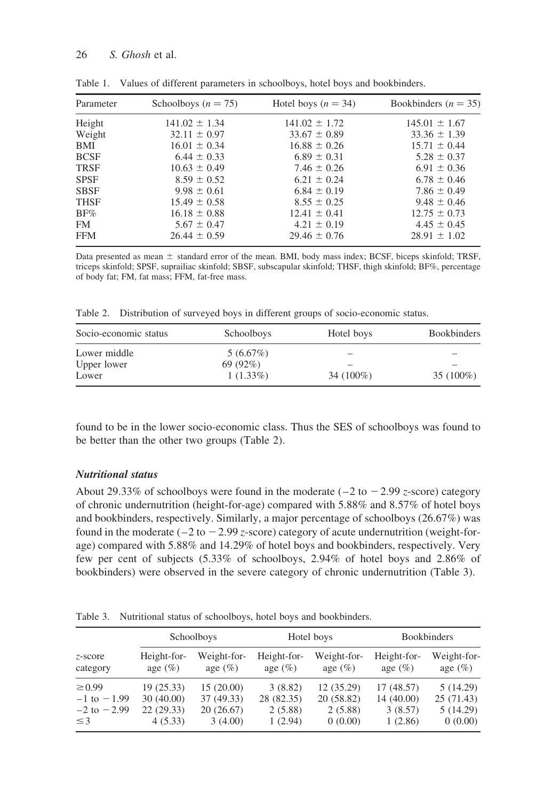| Parameter   | Schoolboys $(n = 75)$ | Hotel boys $(n = 34)$ | Bookbinders ( $n = 35$ ) |
|-------------|-----------------------|-----------------------|--------------------------|
| Height      | $141.02 \pm 1.34$     | $141.02 \pm 1.72$     | $145.01 \pm 1.67$        |
| Weight      | $32.11 \pm 0.97$      | $33.67 \pm 0.89$      | $33.36 \pm 1.39$         |
| <b>BMI</b>  | $16.01 \pm 0.34$      | $16.88 \pm 0.26$      | $15.71 \pm 0.44$         |
| <b>BCSF</b> | $6.44 \pm 0.33$       | $6.89 \pm 0.31$       | $5.28 \pm 0.37$          |
| <b>TRSF</b> | $10.63 \pm 0.49$      | $7.46 \pm 0.26$       | $6.91 \pm 0.36$          |
| <b>SPSF</b> | $8.59 \pm 0.52$       | $6.21 \pm 0.24$       | $6.78 \pm 0.46$          |
| <b>SBSF</b> | $9.98 \pm 0.61$       | $6.84 \pm 0.19$       | $7.86 \pm 0.49$          |
| <b>THSF</b> | $15.49 \pm 0.58$      | $8.55 \pm 0.25$       | $9.48 \pm 0.46$          |
| BF%         | $16.18 \pm 0.88$      | $12.41 \pm 0.41$      | $12.75 \pm 0.73$         |
| FM          | $5.67 \pm 0.47$       | $4.21 \pm 0.19$       | $4.45 \pm 0.45$          |
| <b>FFM</b>  | $26.44 \pm 0.59$      | $29.46 \pm 0.76$      | $28.91 \pm 1.02$         |

Table 1. Values of different parameters in schoolboys, hotel boys and bookbinders.

Data presented as mean  $\pm$  standard error of the mean. BMI, body mass index; BCSF, biceps skinfold; TRSF, triceps skinfold; SPSF, suprailiac skinfold; SBSF, subscapular skinfold; THSF, thigh skinfold; BF%, percentage of body fat; FM, fat mass; FFM, fat-free mass.

Table 2. Distribution of surveyed boys in different groups of socio-economic status.

| Socio-economic status | <b>Schoolboys</b> | Hotel boys   | <b>Bookbinders</b> |
|-----------------------|-------------------|--------------|--------------------|
| Lower middle          | 5(6.67%)          |              |                    |
| Upper lower           | 69(92%)           |              |                    |
| Lower                 | $1(1.33\%)$       | 34 $(100\%)$ | 35 $(100\%)$       |

found to be in the lower socio-economic class. Thus the SES of schoolboys was found to be better than the other two groups (Table 2).

#### Nutritional status

About 29.33% of schoolboys were found in the moderate  $(-2 \text{ to } -2.99 \text{ z-score})$  category of chronic undernutrition (height-for-age) compared with 5.88% and 8.57% of hotel boys and bookbinders, respectively. Similarly, a major percentage of schoolboys (26.67%) was found in the moderate ( $-2$  to  $-2.99$  z-score) category of acute undernutrition (weight-forage) compared with 5.88% and 14.29% of hotel boys and bookbinders, respectively. Very few per cent of subjects (5.33% of schoolboys, 2.94% of hotel boys and 2.86% of bookbinders) were observed in the severe category of chronic undernutrition (Table 3).

Table 3. Nutritional status of schoolboys, hotel boys and bookbinders.

|                 | Schoolboys  |             |             | Hotel boys  | <b>Bookbinders</b> |             |  |
|-----------------|-------------|-------------|-------------|-------------|--------------------|-------------|--|
| z-score         | Height-for- | Weight-for- | Height-for- | Weight-for- | Height-for-        | Weight-for- |  |
| category        | age $(\%)$  | age $(\%)$  | age $(\%)$  | age $(\%)$  | age $(\%)$         | age $(\%)$  |  |
| $\geq 0.99$     | 19(25.33)   | 15(20.00)   | 3(8.82)     | 12 (35.29)  | 17 (48.57)         | 5(14.29)    |  |
| $-1$ to $-1.99$ | 30(40.00)   | 37 (49.33)  | 28 (82.35)  | 20 (58.82)  | 14 (40.00)         | 25(71.43)   |  |
| $-2$ to $-2.99$ | 22(29.33)   | 20(26.67)   | 2(5.88)     | 2(5.88)     | 3(8.57)            | 5(14.29)    |  |
| $\leq$ 3        | 4(5.33)     | 3(4.00)     | 1(2.94)     | 0(0.00)     | 1(2.86)            | 0(0.00)     |  |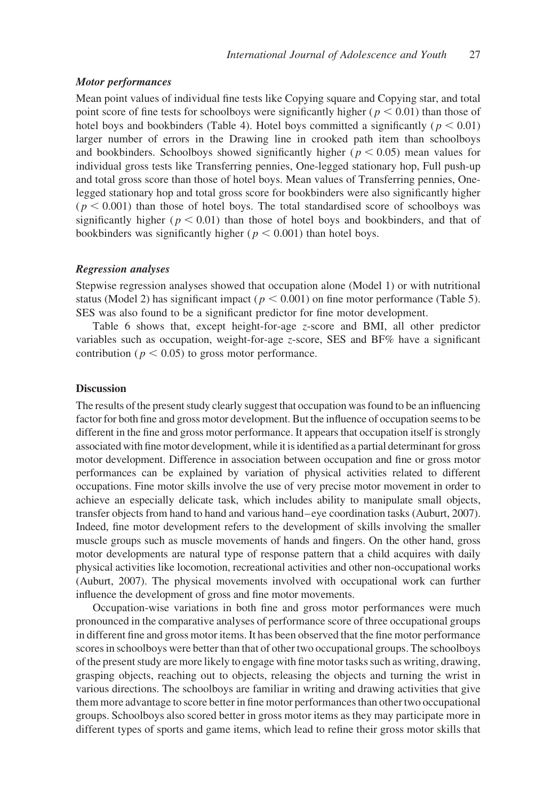#### Motor performances

Mean point values of individual fine tests like Copying square and Copying star, and total point score of fine tests for schoolboys were significantly higher ( $p < 0.01$ ) than those of hotel boys and bookbinders (Table 4). Hotel boys committed a significantly ( $p < 0.01$ ) larger number of errors in the Drawing line in crooked path item than schoolboys and bookbinders. Schoolboys showed significantly higher ( $p < 0.05$ ) mean values for individual gross tests like Transferring pennies, One-legged stationary hop, Full push-up and total gross score than those of hotel boys. Mean values of Transferring pennies, Onelegged stationary hop and total gross score for bookbinders were also significantly higher  $(p < 0.001)$  than those of hotel boys. The total standardised score of schoolboys was significantly higher ( $p < 0.01$ ) than those of hotel boys and bookbinders, and that of bookbinders was significantly higher ( $p < 0.001$ ) than hotel boys.

#### Regression analyses

Stepwise regression analyses showed that occupation alone (Model 1) or with nutritional status (Model 2) has significant impact ( $p < 0.001$ ) on fine motor performance (Table 5). SES was also found to be a significant predictor for fine motor development.

Table 6 shows that, except height-for-age z-score and BMI, all other predictor variables such as occupation, weight-for-age z-score, SES and BF% have a significant contribution ( $p < 0.05$ ) to gross motor performance.

#### **Discussion**

The results of the present study clearly suggest that occupation was found to be an influencing factor for both fine and gross motor development. But the influence of occupation seems to be different in the fine and gross motor performance. It appears that occupation itself is strongly associated with fine motor development, while it is identified as a partial determinant for gross motor development. Difference in association between occupation and fine or gross motor performances can be explained by variation of physical activities related to different occupations. Fine motor skills involve the use of very precise motor movement in order to achieve an especially delicate task, which includes ability to manipulate small objects, transfer objects from hand to hand and various hand–eye coordination tasks (Auburt, 2007). Indeed, fine motor development refers to the development of skills involving the smaller muscle groups such as muscle movements of hands and fingers. On the other hand, gross motor developments are natural type of response pattern that a child acquires with daily physical activities like locomotion, recreational activities and other non-occupational works (Auburt, 2007). The physical movements involved with occupational work can further influence the development of gross and fine motor movements.

Occupation-wise variations in both fine and gross motor performances were much pronounced in the comparative analyses of performance score of three occupational groups in different fine and gross motor items. It has been observed that the fine motor performance scores in schoolboys were better than that of other two occupational groups. The schoolboys of the present study are more likely to engage with fine motor tasks such as writing, drawing, grasping objects, reaching out to objects, releasing the objects and turning the wrist in various directions. The schoolboys are familiar in writing and drawing activities that give them more advantage to score better in fine motor performances than other two occupational groups. Schoolboys also scored better in gross motor items as they may participate more in different types of sports and game items, which lead to refine their gross motor skills that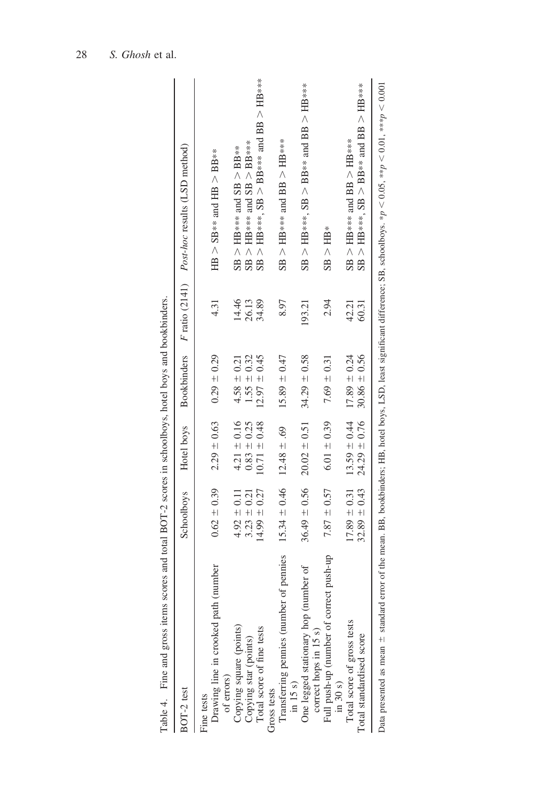| BOT-2 test                              | Schoolboys        | Hotel boys       |                  |        | Bookbinders $F$ ratio (2141) $Post-hoc$ results (LSD method)                                                                                                                                 |
|-----------------------------------------|-------------------|------------------|------------------|--------|----------------------------------------------------------------------------------------------------------------------------------------------------------------------------------------------|
| Fine tests                              |                   |                  |                  |        |                                                                                                                                                                                              |
| Drawing line in crooked path (number    | $0.62 \pm 0.39$   | $2.29 \pm 0.63$  | $0.29 \pm 0.29$  | 4.31   | $HB > SB**$ and $HB > BB**$                                                                                                                                                                  |
| of errors)                              |                   |                  |                  |        |                                                                                                                                                                                              |
| Copying square (points)                 | $4.92 \pm 0.1$    | $4.21 \pm 0.16$  | $4.58 \pm 0.21$  | 14.46  | $SB > HBs$ and $SB > BB$ **                                                                                                                                                                  |
| Copying star (points)                   | $3.23 \pm 0.2$    | $0.83 \pm 0.25$  | $1.55 \pm 0.32$  | 26.13  | $SB > HB***$ and $SB > BB***$                                                                                                                                                                |
| Total score of fine tests               | $(4.99 \pm 0.27)$ | $0.71 \pm 0.48$  | $12.97 \pm 0.45$ | 34.89  | $SB > HBs$ ***, $SB$ > $BB$ *** and $BB > HBs$ ***                                                                                                                                           |
| Gross tests                             |                   |                  |                  |        |                                                                                                                                                                                              |
| Transferring pennies (number of pennies | $15.34 \pm 0.46$  | $12.48 \pm .69$  | $15.89 \pm 0.47$ | 8.97   | $SB > HB***$ and $BB > HB***$                                                                                                                                                                |
| in $15 s$                               |                   |                  |                  |        |                                                                                                                                                                                              |
| đ<br>One legged stationary hop (number  | $36.49 \pm 0.56$  | $20.02 \pm 0.51$ | $34.29 \pm 0.58$ | 193.21 | $\mathrm{SB} > \mathrm{HB}$ ***, $\mathrm{SB} \times \mathrm{BB}$ and $\mathrm{BB} > \mathrm{HB}$ ***                                                                                        |
| correct hops in 15 s)                   |                   |                  |                  |        |                                                                                                                                                                                              |
| Full push-up (number of correct push-up | $7.87 \pm 0.57$   | $6.01 \pm 0.39$  | $7.69 \pm 0.31$  | 2.94   | SB > HBs                                                                                                                                                                                     |
| $\ln 30 s$                              |                   |                  |                  |        |                                                                                                                                                                                              |
| Total score of gross tests              | $17.89 \pm 0.31$  | $13.59 \pm 0.44$ | $17.89 \pm 0.24$ | 42.21  | $SB > HB***$ and $BB > HB***$                                                                                                                                                                |
| Total standardised score                | $32.89 \pm 0.43$  | $24.29 \pm 0.76$ | $30.86 \pm 0.56$ | 60.31  | $SB > HB***$ , SB $> BB**$ and BB $> HB***$                                                                                                                                                  |
|                                         |                   |                  |                  |        | Data presented as mean $\pm$ standard error of the mean. BB, bookbinders; HB, hotel boys, LSD, least significant difference: SB, schoolboys. * $p < 0.05$ , ** $p < 0.001$ , *** $p < 0.001$ |

Table 4. Fine and gross items scores and total BOT-2 scores in schoolboys, hotel boys and bookbinders. Table 4. Fine and gross items scores and total BOT-2 scores in schoolboys, hotel boys and bookbinders.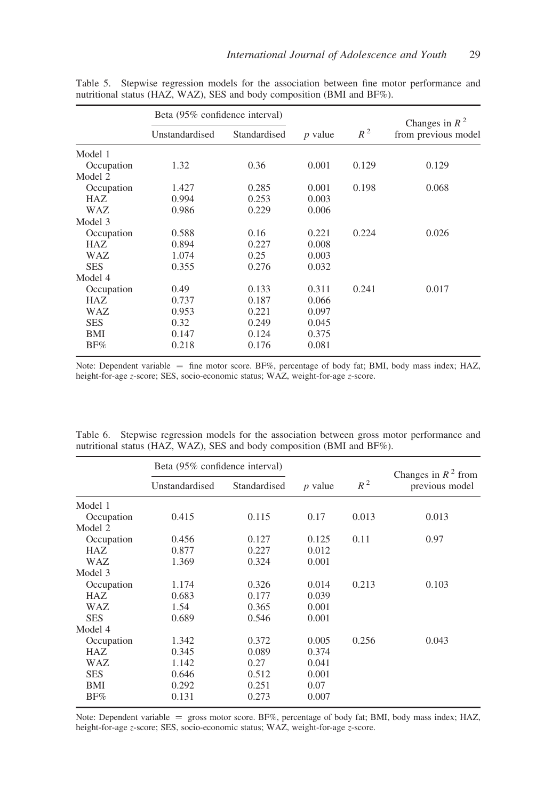|            | Beta (95% confidence interval) |              |           |       | Changes in $R^2$    |
|------------|--------------------------------|--------------|-----------|-------|---------------------|
|            | Unstandardised                 | Standardised | $p$ value | $R^2$ | from previous model |
| Model 1    |                                |              |           |       |                     |
| Occupation | 1.32                           | 0.36         | 0.001     | 0.129 | 0.129               |
| Model 2    |                                |              |           |       |                     |
| Occupation | 1.427                          | 0.285        | 0.001     | 0.198 | 0.068               |
| HAZ.       | 0.994                          | 0.253        | 0.003     |       |                     |
| WAZ        | 0.986                          | 0.229        | 0.006     |       |                     |
| Model 3    |                                |              |           |       |                     |
| Occupation | 0.588                          | 0.16         | 0.221     | 0.224 | 0.026               |
| HAZ        | 0.894                          | 0.227        | 0.008     |       |                     |
| WAZ.       | 1.074                          | 0.25         | 0.003     |       |                     |
| <b>SES</b> | 0.355                          | 0.276        | 0.032     |       |                     |
| Model 4    |                                |              |           |       |                     |
| Occupation | 0.49                           | 0.133        | 0.311     | 0.241 | 0.017               |
| HAZ.       | 0.737                          | 0.187        | 0.066     |       |                     |
| WAZ        | 0.953                          | 0.221        | 0.097     |       |                     |
| <b>SES</b> | 0.32                           | 0.249        | 0.045     |       |                     |
| BMI        | 0.147                          | 0.124        | 0.375     |       |                     |
| BF%        | 0.218                          | 0.176        | 0.081     |       |                     |

Table 5. Stepwise regression models for the association between fine motor performance and nutritional status (HAZ, WAZ), SES and body composition (BMI and BF%).

Note: Dependent variable = fine motor score. BF%, percentage of body fat; BMI, body mass index; HAZ, height-for-age z-score; SES, socio-economic status; WAZ, weight-for-age z-score.

| Beta (95% confidence interval) |              |           |       | Changes in $R^2$ from |
|--------------------------------|--------------|-----------|-------|-----------------------|
| Unstandardised                 | Standardised | $p$ value | $R^2$ | previous model        |
|                                |              |           |       |                       |
| 0.415                          | 0.115        | 0.17      | 0.013 | 0.013                 |
|                                |              |           |       |                       |
| 0.456                          | 0.127        | 0.125     | 0.11  | 0.97                  |
| 0.877                          | 0.227        | 0.012     |       |                       |
| 1.369                          | 0.324        | 0.001     |       |                       |
|                                |              |           |       |                       |
| 1.174                          | 0.326        | 0.014     | 0.213 | 0.103                 |
| 0.683                          | 0.177        | 0.039     |       |                       |
| 1.54                           | 0.365        | 0.001     |       |                       |
| 0.689                          | 0.546        | 0.001     |       |                       |
|                                |              |           |       |                       |
| 1.342                          | 0.372        | 0.005     | 0.256 | 0.043                 |
| 0.345                          | 0.089        | 0.374     |       |                       |
| 1.142                          | 0.27         | 0.041     |       |                       |
| 0.646                          | 0.512        | 0.001     |       |                       |
| 0.292                          | 0.251        | 0.07      |       |                       |
| 0.131                          | 0.273        | 0.007     |       |                       |
|                                |              |           |       |                       |

Table 6. Stepwise regression models for the association between gross motor performance and nutritional status (HAZ, WAZ), SES and body composition (BMI and BF%).

Note: Dependent variable = gross motor score. BF%, percentage of body fat; BMI, body mass index; HAZ, height-for-age z-score; SES, socio-economic status; WAZ, weight-for-age z-score.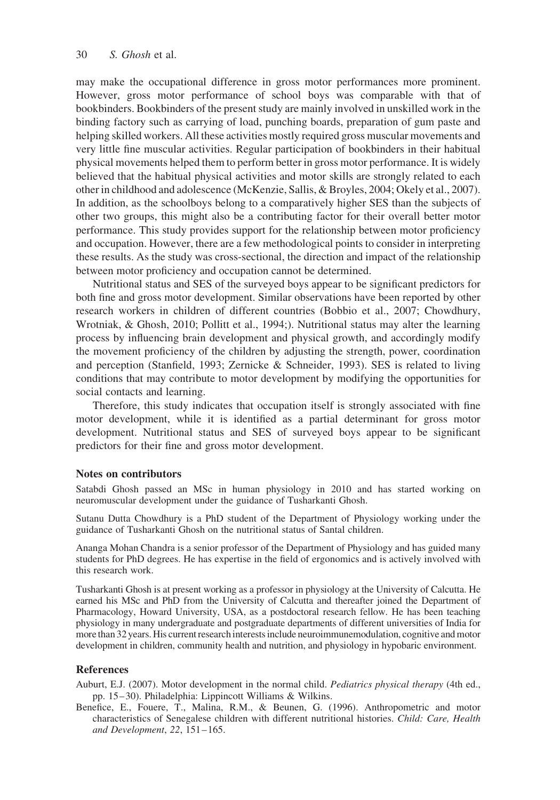may make the occupational difference in gross motor performances more prominent. However, gross motor performance of school boys was comparable with that of bookbinders. Bookbinders of the present study are mainly involved in unskilled work in the binding factory such as carrying of load, punching boards, preparation of gum paste and helping skilled workers. All these activities mostly required gross muscular movements and very little fine muscular activities. Regular participation of bookbinders in their habitual physical movements helped them to perform better in gross motor performance. It is widely believed that the habitual physical activities and motor skills are strongly related to each other in childhood and adolescence (McKenzie, Sallis, & Broyles, 2004; Okely et al., 2007). In addition, as the schoolboys belong to a comparatively higher SES than the subjects of other two groups, this might also be a contributing factor for their overall better motor performance. This study provides support for the relationship between motor proficiency and occupation. However, there are a few methodological points to consider in interpreting these results. As the study was cross-sectional, the direction and impact of the relationship between motor proficiency and occupation cannot be determined.

Nutritional status and SES of the surveyed boys appear to be significant predictors for both fine and gross motor development. Similar observations have been reported by other research workers in children of different countries (Bobbio et al., 2007; Chowdhury, Wrotniak, & Ghosh, 2010; Pollitt et al., 1994;). Nutritional status may alter the learning process by influencing brain development and physical growth, and accordingly modify the movement proficiency of the children by adjusting the strength, power, coordination and perception (Stanfield, 1993; Zernicke & Schneider, 1993). SES is related to living conditions that may contribute to motor development by modifying the opportunities for social contacts and learning.

Therefore, this study indicates that occupation itself is strongly associated with fine motor development, while it is identified as a partial determinant for gross motor development. Nutritional status and SES of surveyed boys appear to be significant predictors for their fine and gross motor development.

#### Notes on contributors

Satabdi Ghosh passed an MSc in human physiology in 2010 and has started working on neuromuscular development under the guidance of Tusharkanti Ghosh.

Sutanu Dutta Chowdhury is a PhD student of the Department of Physiology working under the guidance of Tusharkanti Ghosh on the nutritional status of Santal children.

Ananga Mohan Chandra is a senior professor of the Department of Physiology and has guided many students for PhD degrees. He has expertise in the field of ergonomics and is actively involved with this research work.

Tusharkanti Ghosh is at present working as a professor in physiology at the University of Calcutta. He earned his MSc and PhD from the University of Calcutta and thereafter joined the Department of Pharmacology, Howard University, USA, as a postdoctoral research fellow. He has been teaching physiology in many undergraduate and postgraduate departments of different universities of India for more than 32 years. His current research interests include neuroimmunemodulation, cognitive and motor development in children, community health and nutrition, and physiology in hypobaric environment.

#### References

Auburt, E.J. (2007). Motor development in the normal child. Pediatrics physical therapy (4th ed., pp. 15–30). Philadelphia: Lippincott Williams & Wilkins.

Benefice, E., Fouere, T., Malina, R.M., & Beunen, G. (1996). Anthropometric and motor characteristics of Senegalese children with different nutritional histories. Child: Care, Health and Development, 22, 151–165.